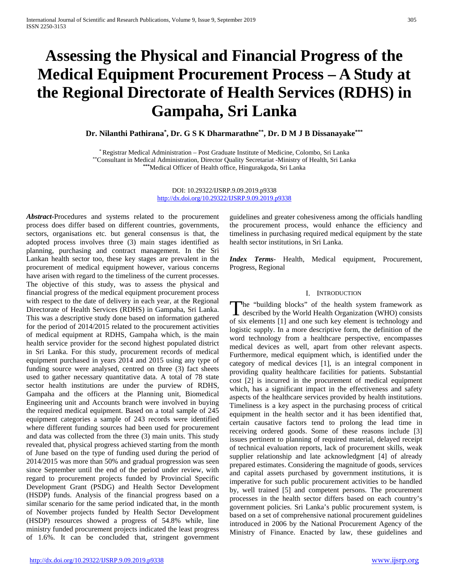# **Assessing the Physical and Financial Progress of the Medical Equipment Procurement Process – A Study at the Regional Directorate of Health Services (RDHS) in Gampaha, Sri Lanka**

**Dr. Nilanthi Pathirana\* , Dr. G S K Dharmarathne\*\*, Dr. D M J B Dissanayake\*\*\***

\* Registrar Medical Administration – Post Graduate Institute of Medicine, Colombo, Sri Lanka \*\*Consultant in Medical Administration, Director Quality Secretariat -Ministry of Health, Sri Lanka **\*\*\***Medical Officer of Health office, Hingurakgoda, Sri Lanka

# DOI: 10.29322/IJSRP.9.09.2019.p9338 <http://dx.doi.org/10.29322/IJSRP.9.09.2019.p9338>

*Abstract***-**Procedures and systems related to the procurement process does differ based on different countries, governments, sectors, organisations etc. but general consensus is that, the adopted process involves three (3) main stages identified as planning, purchasing and contract management. In the Sri Lankan health sector too, these key stages are prevalent in the procurement of medical equipment however, various concerns have arisen with regard to the timeliness of the current processes. The objective of this study, was to assess the physical and financial progress of the medical equipment procurement process with respect to the date of delivery in each year, at the Regional Directorate of Health Services (RDHS) in Gampaha, Sri Lanka. This was a descriptive study done based on information gathered for the period of 2014/2015 related to the procurement activities of medical equipment at RDHS, Gampaha which, is the main health service provider for the second highest populated district in Sri Lanka. For this study, procurement records of medical equipment purchased in years 2014 and 2015 using any type of funding source were analysed, centred on three (3) fact sheets used to gather necessary quantitative data. A total of 78 state sector health institutions are under the purview of RDHS, Gampaha and the officers at the Planning unit, Biomedical Engineering unit and Accounts branch were involved in buying the required medical equipment. Based on a total sample of 245 equipment categories a sample of 243 records were identified where different funding sources had been used for procurement and data was collected from the three (3) main units. This study revealed that, physical progress achieved starting from the month of June based on the type of funding used during the period of 2014/2015 was more than 50% and gradual progression was seen since September until the end of the period under review, with regard to procurement projects funded by Provincial Specific Development Grant (PSDG) and Health Sector Development (HSDP) funds. Analysis of the financial progress based on a similar scenario for the same period indicated that, in the month of November projects funded by Health Sector Development (HSDP) resources showed a progress of 54.8% while, line ministry funded procurement projects indicated the least progress of 1.6%. It can be concluded that, stringent government guidelines and greater cohesiveness among the officials handling the procurement process, would enhance the efficiency and timeliness in purchasing required medical equipment by the state health sector institutions, in Sri Lanka.

*Index Terms*- Health, Medical equipment, Procurement, Progress, Regional

# I. INTRODUCTION

he "building blocks" of the health system framework as The "building blocks" of the health system framework as<br>described by the World Health Organization (WHO) consists of six elements [1] and one such key element is technology and logistic supply. In a more descriptive form, the definition of the word technology from a healthcare perspective, encompasses medical devices as well, apart from other relevant aspects. Furthermore, medical equipment which, is identified under the category of medical devices [1], is an integral component in providing quality healthcare facilities for patients. Substantial cost [2] is incurred in the procurement of medical equipment which, has a significant impact in the effectiveness and safety aspects of the healthcare services provided by health institutions. Timeliness is a key aspect in the purchasing process of critical equipment in the health sector and it has been identified that, certain causative factors tend to prolong the lead time in receiving ordered goods. Some of these reasons include [3] issues pertinent to planning of required material, delayed receipt of technical evaluation reports, lack of procurement skills, weak supplier relationship and late acknowledgment [4] of already prepared estimates. Considering the magnitude of goods, services and capital assets purchased by government institutions, it is imperative for such public procurement activities to be handled by, well trained [5] and competent persons. The procurement processes in the health sector differs based on each country's government policies. Sri Lanka's public procurement system, is based on a set of comprehensive national procurement guidelines introduced in 2006 by the National Procurement Agency of the Ministry of Finance. Enacted by law, these guidelines and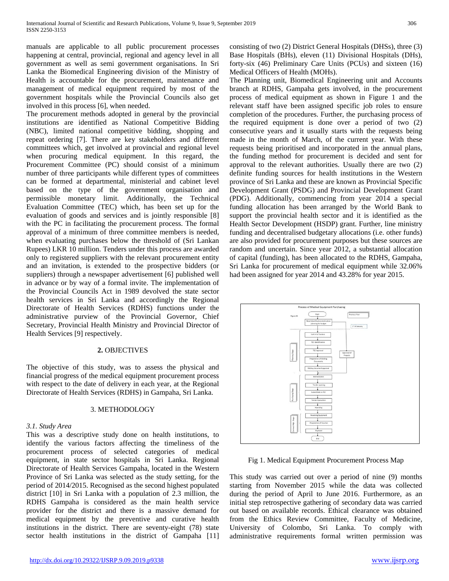manuals are applicable to all public procurement processes happening at central, provincial, regional and agency level in all government as well as semi government organisations. In Sri Lanka the Biomedical Engineering division of the Ministry of Health is accountable for the procurement, maintenance and management of medical equipment required by most of the government hospitals while the Provincial Councils also get involved in this process [6], when needed.

The procurement methods adopted in general by the provincial institutions are identified as National Competitive Bidding (NBC), limited national competitive bidding, shopping and repeat ordering [7]. There are key stakeholders and different committees which, get involved at provincial and regional level when procuring medical equipment. In this regard, the Procurement Committee (PC) should consist of a minimum number of three participants while different types of committees can be formed at departmental, ministerial and cabinet level based on the type of the government organisation and permissible monetary limit. Additionally, the Technical Evaluation Committee (TEC) which, has been set up for the evaluation of goods and services and is jointly responsible [8] with the PC in facilitating the procurement process. The formal approval of a minimum of three committee members is needed, when evaluating purchases below the threshold of (Sri Lankan Rupees) LKR 10 million. Tenders under this process are awarded only to registered suppliers with the relevant procurement entity and an invitation, is extended to the prospective bidders (or suppliers) through a newspaper advertisement [6] published well in advance or by way of a formal invite. The implementation of the Provincial Councils Act in 1989 devolved the state sector health services in Sri Lanka and accordingly the Regional Directorate of Health Services (RDHS) functions under the administrative purview of the Provincial Governor, Chief Secretary, Provincial Health Ministry and Provincial Director of Health Services [9] respectively.

# **2.** OBJECTIVES

The objective of this study, was to assess the physical and financial progress of the medical equipment procurement process with respect to the date of delivery in each year, at the Regional Directorate of Health Services (RDHS) in Gampaha, Sri Lanka.

## 3. METHODOLOGY

## *3.1. Study Area*

This was a descriptive study done on health institutions, to identify the various factors affecting the timeliness of the procurement process of selected categories of medical equipment, in state sector hospitals in Sri Lanka. Regional Directorate of Health Services Gampaha, located in the Western Province of Sri Lanka was selected as the study setting, for the period of 2014/2015. Recognised as the second highest populated district [10] in Sri Lanka with a population of 2.3 million, the RDHS Gampaha is considered as the main health service provider for the district and there is a massive demand for medical equipment by the preventive and curative health institutions in the district. There are seventy-eight (78) state sector health institutions in the district of Gampaha [11]

consisting of two (2) District General Hospitals (DHSs), three (3) Base Hospitals (BHs), eleven (11) Divisional Hospitals (DHs), forty-six (46) Preliminary Care Units (PCUs) and sixteen (16) Medical Officers of Health (MOHs).

The Planning unit, Biomedical Engineering unit and Accounts branch at RDHS, Gampaha gets involved, in the procurement process of medical equipment as shown in Figure 1 and the relevant staff have been assigned specific job roles to ensure completion of the procedures. Further, the purchasing process of the required equipment is done over a period of two (2) consecutive years and it usually starts with the requests being made in the month of March, of the current year. With these requests being prioritised and incorporated in the annual plans, the funding method for procurement is decided and sent for approval to the relevant authorities. Usually there are two (2) definite funding sources for health institutions in the Western province of Sri Lanka and these are known as Provincial Specific Development Grant (PSDG) and Provincial Development Grant (PDG). Additionally, commencing from year 2014 a special funding allocation has been arranged by the World Bank to support the provincial health sector and it is identified as the Health Sector Development (HSDP) grant. Further, line ministry funding and decentralised budgetary allocations (i.e. other funds) are also provided for procurement purposes but these sources are random and uncertain. Since year 2012, a substantial allocation of capital (funding), has been allocated to the RDHS, Gampaha, Sri Lanka for procurement of medical equipment while 32.06% had been assigned for year 2014 and 43.28% for year 2015.



Fig 1. Medical Equipment Procurement Process Map

This study was carried out over a period of nine (9) months starting from November 2015 while the data was collected during the period of April to June 2016. Furthermore, as an initial step retrospective gathering of secondary data was carried out based on available records. Ethical clearance was obtained from the Ethics Review Committee, Faculty of Medicine, University of Colombo, Sri Lanka. To comply with administrative requirements formal written permission was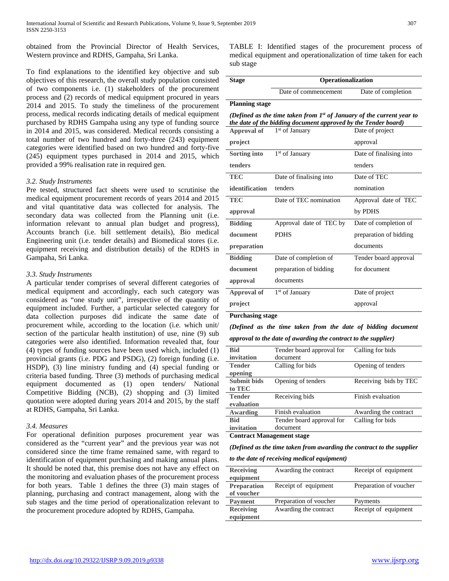obtained from the Provincial Director of Health Services, Western province and RDHS, Gampaha, Sri Lanka.

To find explanations to the identified key objective and sub objectives of this research, the overall study population consisted of two components i.e. (1) stakeholders of the procurement process and (2) records of medical equipment procured in years 2014 and 2015. To study the timeliness of the procurement process, medical records indicating details of medical equipment purchased by RDHS Gampaha using any type of funding source in 2014 and 2015, was considered. Medical records consisting a total number of two hundred and forty-three (243) equipment categories were identified based on two hundred and forty-five (245) equipment types purchased in 2014 and 2015, which provided a 99% realisation rate in required gen.

# *3.2. Study Instruments*

Pre tested, structured fact sheets were used to scrutinise the medical equipment procurement records of years 2014 and 2015 and vital quantitative data was collected for analysis. The secondary data was collected from the Planning unit (i.e. information relevant to annual plan budget and progress), Accounts branch (i.e. bill settlement details), Bio medical Engineering unit (i.e. tender details) and Biomedical stores (i.e. equipment receiving and distribution details) of the RDHS in Gampaha, Sri Lanka.

# *3.3. Study Instruments*

A particular tender comprises of several different categories of medical equipment and accordingly, each such category was considered as "one study unit", irrespective of the quantity of equipment included. Further, a particular selected category for data collection purposes did indicate the same date of procurement while, according to the location (i.e. which unit/ section of the particular health institution) of use, nine (9) sub categories were also identified. Information revealed that, four (4) types of funding sources have been used which, included (1) provincial grants (i.e. PDG and PSDG), (2) foreign funding (i.e. HSDP), (3) line ministry funding and (4) special funding or criteria based funding. Three (3) methods of purchasing medical equipment documented as (1) open tenders/ National Competitive Bidding (NCB), (2) shopping and (3) limited quotation were adopted during years 2014 and 2015, by the staff at RDHS, Gampaha, Sri Lanka.

# *3.4. Measures*

For operational definition purposes procurement year was considered as the "current year" and the previous year was not considered since the time frame remained same, with regard to identification of equipment purchasing and making annual plans. It should be noted that, this premise does not have any effect on the monitoring and evaluation phases of the procurement process for both years. Table 1 defines the three (3) main stages of planning, purchasing and contract management, along with the sub stages and the time period of operationalization relevant to the procurement procedure adopted by RDHS, Gampaha.

TABLE I: Identified stages of the procurement process of medical equipment and operationalization of time taken for each sub stage

| <b>Stage</b>                                                                                                                              | Operationalization                            |                         |  |  |  |  |  |
|-------------------------------------------------------------------------------------------------------------------------------------------|-----------------------------------------------|-------------------------|--|--|--|--|--|
|                                                                                                                                           | Date of commencement                          | Date of completion      |  |  |  |  |  |
| <b>Planning stage</b>                                                                                                                     |                                               |                         |  |  |  |  |  |
| (Defined as the time taken from $Ist$ of January of the current year to<br>the date of the bidding document approved by the Tender board) |                                               |                         |  |  |  |  |  |
| Approval of                                                                                                                               | 1 <sup>st</sup> of January<br>Date of project |                         |  |  |  |  |  |
| project                                                                                                                                   |                                               | approval                |  |  |  |  |  |
| Sorting into                                                                                                                              | 1 <sup>st</sup> of January                    | Date of finalising into |  |  |  |  |  |
| tenders                                                                                                                                   |                                               | tenders                 |  |  |  |  |  |
| <b>TEC</b>                                                                                                                                | Date of finalising into                       | Date of TEC             |  |  |  |  |  |
| identification                                                                                                                            | tenders                                       | nomination              |  |  |  |  |  |
| <b>TEC</b>                                                                                                                                | Date of TEC nomination                        | Approval date of TEC    |  |  |  |  |  |
| approval                                                                                                                                  |                                               | by PDHS                 |  |  |  |  |  |
| <b>Bidding</b>                                                                                                                            | Approval date of TEC by                       | Date of completion of   |  |  |  |  |  |
| document                                                                                                                                  | <b>PDHS</b>                                   | preparation of bidding  |  |  |  |  |  |
| preparation                                                                                                                               |                                               | documents               |  |  |  |  |  |
| <b>Bidding</b>                                                                                                                            | Date of completion of                         | Tender board approval   |  |  |  |  |  |
| document                                                                                                                                  | preparation of bidding                        | for document            |  |  |  |  |  |
| approval                                                                                                                                  | documents                                     |                         |  |  |  |  |  |
| Approval of                                                                                                                               | 1 <sup>st</sup> of January                    | Date of project         |  |  |  |  |  |
| project                                                                                                                                   |                                               | approval                |  |  |  |  |  |

## **Purchasing stage**

*(Defined as the time taken from the date of bidding document approval to the date of awarding the contract to the supplier)*

| <b>Bid</b>           | Tender board approval for | Calling for bids      |  |  |
|----------------------|---------------------------|-----------------------|--|--|
| invitation           | document                  |                       |  |  |
| <b>Tender</b>        | Calling for bids          | Opening of tenders    |  |  |
| opening              |                           |                       |  |  |
| <b>Submit bids</b>   | Opening of tenders        | Receiving bids by TEC |  |  |
| to TEC               |                           |                       |  |  |
| <b>Tender</b>        | Receiving bids            | Finish evaluation     |  |  |
| evaluation           |                           |                       |  |  |
| Awarding             | Finish evaluation         | Awarding the contract |  |  |
| <b>Bid</b>           | Tender board approval for | Calling for bids      |  |  |
| invitation           | document                  |                       |  |  |
| $\sim$ $\sim$ $\sim$ |                           |                       |  |  |

**Contract Management stage**

*to the date of receiving medical equipment)*

| <b>Receiving</b><br>equipment    | Awarding the contract  | Receipt of equipment   |
|----------------------------------|------------------------|------------------------|
| <b>Preparation</b><br>of voucher | Receipt of equipment   | Preparation of voucher |
| <b>Payment</b>                   | Preparation of voucher | Payments               |
| <b>Receiving</b><br>equipment    | Awarding the contract  | Receipt of equipment   |

*<sup>(</sup>Defined as the time taken from awarding the contract to the supplier*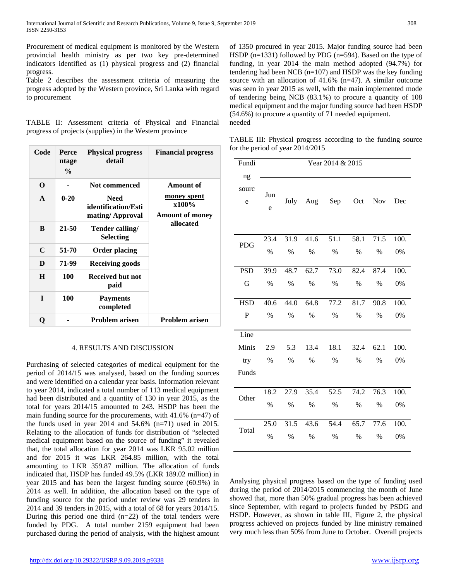Procurement of medical equipment is monitored by the Western provincial health ministry as per two key pre-determined indicators identified as (1) physical progress and (2) financial progress.

Table 2 describes the assessment criteria of measuring the progress adopted by the Western province, Sri Lanka with regard to procurement

TABLE II: Assessment criteria of Physical and Financial progress of projects (supplies) in the Western province

| Code         | <b>Perce</b><br>ntage<br>$\frac{0}{0}$ | <b>Physical progress</b><br>detail             | <b>Financial progress</b>                      |  |  |  |
|--------------|----------------------------------------|------------------------------------------------|------------------------------------------------|--|--|--|
| $\Omega$     |                                        | <b>Not commenced</b>                           | <b>Amount of</b>                               |  |  |  |
| $\mathbf{A}$ | $0 - 20$                               | Need<br>identification/Esti<br>mating/Approval | money spent<br>x100%<br><b>Amount of money</b> |  |  |  |
| B            | 21-50                                  | Tender calling/<br>Selecting                   | allocated                                      |  |  |  |
| C            | 51-70                                  | <b>Order placing</b>                           |                                                |  |  |  |
| D            | 71-99                                  | <b>Receiving goods</b>                         |                                                |  |  |  |
| $\bf H$      | 100                                    | <b>Received but not</b><br>paid                |                                                |  |  |  |
| T            | 100                                    | <b>Payments</b><br>completed                   |                                                |  |  |  |
| 0            |                                        | <b>Problem arisen</b>                          | <b>Problem arisen</b>                          |  |  |  |

## 4. RESULTS AND DISCUSSION

Purchasing of selected categories of medical equipment for the period of 2014/15 was analysed, based on the funding sources and were identified on a calendar year basis. Information relevant to year 2014, indicated a total number of 113 medical equipment had been distributed and a quantity of 130 in year 2015, as the total for years 2014/15 amounted to 243. HSDP has been the main funding source for the procurements, with 41.6% (n=47) of the funds used in year 2014 and  $54.6\%$  (n=71) used in 2015. Relating to the allocation of funds for distribution of "selected medical equipment based on the source of funding" it revealed that, the total allocation for year 2014 was LKR 95.02 million and for 2015 it was LKR 264.85 million, with the total amounting to LKR 359.87 million. The allocation of funds indicated that, HSDP has funded 49.5% (LKR 189.02 million) in year 2015 and has been the largest funding source (60.9%) in 2014 as well. In addition, the allocation based on the type of funding source for the period under review was 29 tenders in 2014 and 39 tenders in 2015, with a total of 68 for years 2014/15. During this period one third  $(n=22)$  of the total tenders were funded by PDG. A total number 2159 equipment had been purchased during the period of analysis, with the highest amount of 1350 procured in year 2015. Major funding source had been HSDP (n=1331) followed by PDG (n=594). Based on the type of funding, in year 2014 the main method adopted (94.7%) for tendering had been NCB (n=107) and HSDP was the key funding source with an allocation of 41.6% (n=47). A similar outcome was seen in year 2015 as well, with the main implemented mode of tendering being NCB (83.1%) to procure a quantity of 108 medical equipment and the major funding source had been HSDP (54.6%) to procure a quantity of 71 needed equipment. needed

| TABLE III: Physical progress according to the funding source |  |  |  |
|--------------------------------------------------------------|--|--|--|
| for the period of year $2014/2015$                           |  |  |  |

| Fundi      | Year 2014 & 2015 |      |      |      |         |            |      |
|------------|------------------|------|------|------|---------|------------|------|
| ng         |                  |      |      |      |         |            |      |
| sourc<br>e | Jun<br>e         | July | Aug  |      | Sep Oct | <b>Nov</b> | Dec  |
|            |                  |      |      |      |         |            |      |
| <b>PDG</b> | 23.4             | 31.9 | 41.6 | 51.1 | 58.1    | 71.5       | 100. |
|            | $\%$             | $\%$ | $\%$ | $\%$ | $\%$    | $\%$       | 0%   |
| <b>PSD</b> | 39.9             | 48.7 | 62.7 | 73.0 | 82.4    | 87.4       | 100. |
| G          | $\%$             | %    | $\%$ | $\%$ | $\%$    | $\%$       | 0%   |
| <b>HSD</b> | 40.6             | 44.0 | 64.8 | 77.2 | 81.7    | 90.8       | 100. |
| P          | $\%$             | $\%$ | $\%$ | %    | $\%$    | $\%$       | 0%   |
| Line       |                  |      |      |      |         |            |      |
| Minis      | 2.9              | 5.3  | 13.4 | 18.1 | 32.4    | 62.1       | 100. |
| try        | %                | $\%$ | $\%$ | $\%$ | $\%$    | $\%$       | 0%   |
| Funds      |                  |      |      |      |         |            |      |
| Other      | 18.2             | 27.9 | 35.4 | 52.5 | 74.2    | 76.3       | 100. |
|            | %                | %    | $\%$ | $\%$ | $\%$    | %          | 0%   |
|            | 25.0             | 31.5 | 43.6 | 54.4 | 65.7    | 77.6       | 100. |
| Total      | $\%$             | $\%$ | $\%$ | $\%$ | $\%$    | $\%$       | 0%   |

Analysing physical progress based on the type of funding used during the period of 2014/2015 commencing the month of June showed that, more than 50% gradual progress has been achieved since September, with regard to projects funded by PSDG and HSDP. However, as shown in table III, Figure 2, the physical progress achieved on projects funded by line ministry remained very much less than 50% from June to October. Overall projects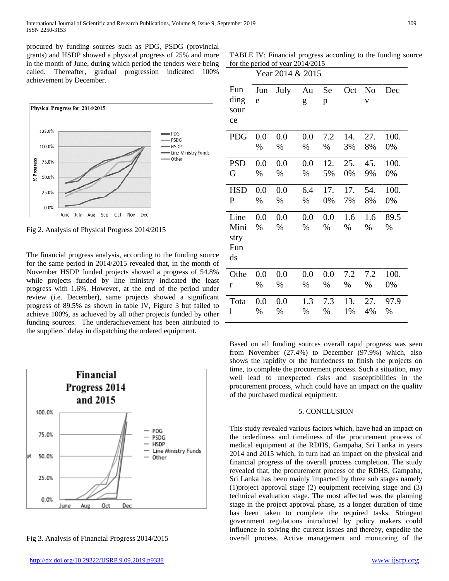procured by funding sources such as PDG, PSDG (provincial grants) and HSDP showed a physical progress of 25% and more in the month of June, during which period the tenders were being called. Thereafter, gradual progression indicated 100% achievement by December.



Fig 2. Analysis of Physical Progress 2014/2015

The financial progress analysis, according to the funding source for the same period in 2014/2015 revealed that, in the month of November HSDP funded projects showed a progress of 54.8% while projects funded by line ministry indicated the least progress with 1.6%. However, at the end of the period under review (i.e. December), same projects showed a significant progress of 89.5% as shown in table IV, Figure 3 but failed to achieve 100%, as achieved by all other projects funded by other funding sources. The underachievement has been attributed to the suppliers' delay in dispatching the ordered equipment.



Fig 3. Analysis of Financial Progress 2014/2015

TABLE IV: Financial progress according to the funding source for the period of year 2014/2015

|                                   | Year 2014 & 2015 |          |          |                |             |                                           |              |
|-----------------------------------|------------------|----------|----------|----------------|-------------|-------------------------------------------|--------------|
| Fun<br>ding<br>sour<br>ce         | Jun<br>e         | July     | Au<br>g  | <b>Se</b><br>p | Oct         | N <sub>o</sub><br>$\overline{\mathsf{V}}$ | Dec          |
| <b>PDG</b>                        | 0.0              | 0.0      | 0.0      | 7.2            | 14.         | 27.                                       | 100.         |
|                                   | %                | %        | $\%$     | %              | 3%          | 8%                                        | 0%           |
| <b>PSD</b>                        | 0.0              | 0.0      | 0.0      | 12.            | 25.         | 45.                                       | 100.         |
| G                                 | %                | %        | %        | 5%             | 0%          | 9%                                        | 0%           |
| <b>HSD</b>                        | 0.0              | 0.0      | 6.4      | 17.            | 17.         | 54.                                       | 100.         |
| $\mathbf P$                       | %                | %        | %        | 0%             | 7%          | 8%                                        | 0%           |
| Line<br>Mini<br>stry<br>Fun<br>ds | 0.0<br>$\%$      | 0.0<br>% | 0.0<br>% | 0.0<br>$\%$    | 1.6<br>$\%$ | 1.6<br>%                                  | 89.5<br>$\%$ |
| Othe                              | 0.0              | 0.0      | 0.0      | 0.0            | 7.2         | 7.2                                       | 100.         |
| r                                 | %                | $\%$     | %        | $\%$           | %           | %                                         | 0%           |
| Tota                              | 0.0              | 0.0      | 1.3      | 7.3            | 13.         | 27.                                       | 97.9         |
| 1                                 | %                | %        | %        | %              | 1%          | 4%                                        | %            |

Based on all funding sources overall rapid progress was seen from November (27.4%) to December (97.9%) which, also shows the rapidity or the hurriedness to finish the projects on time, to complete the procurement process. Such a situation, may well lead to unexpected risks and susceptibilities in the procurement process, which could have an impact on the quality of the purchased medical equipment.

## 5. CONCLUSION

This study revealed various factors which, have had an impact on the orderliness and timeliness of the procurement process of medical equipment at the RDHS, Gampaha, Sri Lanka in years 2014 and 2015 which, in turn had an impact on the physical and financial progress of the overall process completion. The study revealed that, the procurement process of the RDHS, Gampaha, Sri Lanka has been mainly impacted by three sub stages namely (1)project approval stage (2) equipment receiving stage and (3) technical evaluation stage. The most affected was the planning stage in the project approval phase, as a longer duration of time has been taken to complete the required tasks. Stringent government regulations introduced by policy makers could influence in solving the current issues and thereby, expedite the overall process. Active management and monitoring of the